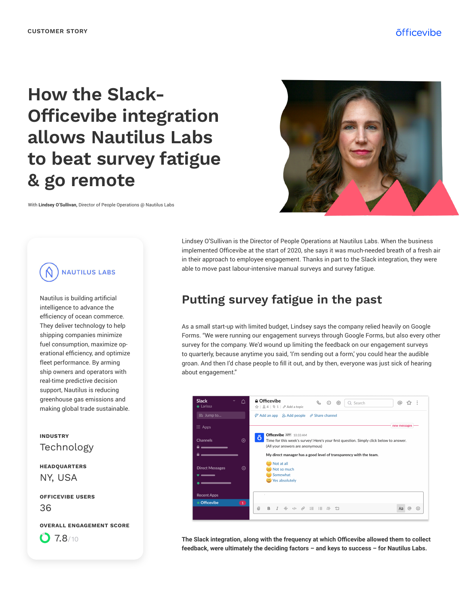# **How the Slack-Officevibe integration allows Nautilus Labs to beat survey fatigue & go remote**

With **Lindsey O'Sullivan,** Director of People Operations @ Nautilus Labs



**NAUTILUS LABS** 

Nautilus is building artificial intelligence to advance the efficiency of ocean commerce. They deliver technology to help shipping companies minimize fuel consumption, maximize operational efficiency, and optimize fleet performance. By arming ship owners and operators with real-time predictive decision support, Nautilus is reducing greenhouse gas emissions and making global trade sustainable.

#### Technology **INDUSTRY**

NY, USA **HEADQUARTERS**

36 **OFFICEVIBE USERS**

#### **OVERALL ENGAGEMENT SCORE**

 $O$  7.8/10

Lindsey O'Sullivan is the Director of People Operations at Nautilus Labs. When the business implemented Officevibe at the start of 2020, she says it was much-needed breath of a fresh air in their approach to employee engagement. Thanks in part to the Slack integration, they were able to move past labour-intensive manual surveys and survey fatigue.

### **Putting survey fatigue in the past**

As a small start-up with limited budget, Lindsey says the company relied heavily on Google Forms. "We were running our engagement surveys through Google Forms, but also every other survey for the company. We'd wound up limiting the feedback on our engagement surveys to quarterly, because anytime you said, 'I'm sending out a form,' you could hear the audible groan. And then I'd chase people to fill it out, and by then, everyone was just sick of hearing about engagement."

| lack<br>$\checkmark$<br>♤<br>Larissa | <b>≙ Officevibe</b><br>C<br>⊚<br>$\odot$<br>හ<br>Q Search<br>ጜን<br>☆   84   ☆ 1   ∥ Add a topic                                                                                                                                                                                                                                                                                                                                                         |         |
|--------------------------------------|---------------------------------------------------------------------------------------------------------------------------------------------------------------------------------------------------------------------------------------------------------------------------------------------------------------------------------------------------------------------------------------------------------------------------------------------------------|---------|
| ã Jump to                            | $\mathcal{G}^*$ Add an app $2+$ Add people $\mathcal{O}$ Share channel                                                                                                                                                                                                                                                                                                                                                                                  |         |
| : Apps                               | new messages                                                                                                                                                                                                                                                                                                                                                                                                                                            |         |
| $\bigoplus$<br>hannels               | Officevibe APP 10:33 AM<br>õ<br>Time for this week's survey! Here's your first question. Simply click below to answer.<br>(All your answers are anonymous)                                                                                                                                                                                                                                                                                              |         |
| $\oplus$<br><b>lirect Messages</b>   | My direct manager has a good level of transparency with the team.<br>Not at all<br>$\Rightarrow$ Not so much<br>$\therefore$ Somewhat<br>Yes absolutely                                                                                                                                                                                                                                                                                                 |         |
| ecent Apps                           |                                                                                                                                                                                                                                                                                                                                                                                                                                                         |         |
| <b>Officevibe</b><br>$\blacksquare$  | $\omega$<br>B<br>$\begin{array}{ccc} \n\sqrt{2} & \frac{1}{2} & \frac{1}{2} & \frac{1}{2} & \frac{1}{2} & \frac{1}{2} & \frac{1}{2} & \frac{1}{2} & \frac{1}{2} & \frac{1}{2} & \frac{1}{2} & \frac{1}{2} & \frac{1}{2} & \frac{1}{2} & \frac{1}{2} & \frac{1}{2} & \frac{1}{2} & \frac{1}{2} & \frac{1}{2} & \frac{1}{2} & \frac{1}{2} & \frac{1}{2} & \frac{1}{2} & \frac{1}{2} & \frac{1}{2} & \frac{1}{2} & \frac{1}{$<br>$\circledcirc$<br>÷<br>Aa | $\odot$ |

**The Slack integration, along with the frequency at which Officevibe allowed them to collect feedback, were ultimately the deciding factors – and keys to success – for Nautilus Labs.**